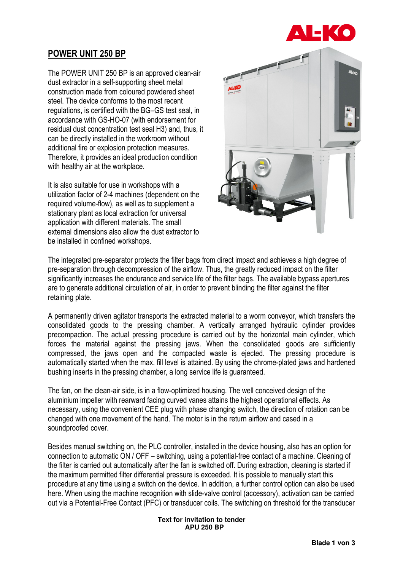

# POWER UNIT 250 BP

The POWER UNIT 250 BP is an approved clean-air dust extractor in a self-supporting sheet metal construction made from coloured powdered sheet steel. The device conforms to the most recent regulations, is certified with the BG–GS test seal, in accordance with GS-HO-07 (with endorsement for residual dust concentration test seal H3) and, thus, it can be directly installed in the workroom without additional fire or explosion protection measures. Therefore, it provides an ideal production condition with healthy air at the workplace.

It is also suitable for use in workshops with a utilization factor of 2-4 machines (dependent on the required volume-flow), as well as to supplement a stationary plant as local extraction for universal application with different materials. The small external dimensions also allow the dust extractor to be installed in confined workshops.



The integrated pre-separator protects the filter bags from direct impact and achieves a high degree of pre-separation through decompression of the airflow. Thus, the greatly reduced impact on the filter significantly increases the endurance and service life of the filter bags. The available bypass apertures are to generate additional circulation of air, in order to prevent blinding the filter against the filter retaining plate.

A permanently driven agitator transports the extracted material to a worm conveyor, which transfers the consolidated goods to the pressing chamber. A vertically arranged hydraulic cylinder provides precompaction. The actual pressing procedure is carried out by the horizontal main cylinder, which forces the material against the pressing jaws. When the consolidated goods are sufficiently compressed, the jaws open and the compacted waste is ejected. The pressing procedure is automatically started when the max. fill level is attained. By using the chrome-plated jaws and hardened bushing inserts in the pressing chamber, a long service life is guaranteed.

The fan, on the clean-air side, is in a flow-optimized housing. The well conceived design of the aluminium impeller with rearward facing curved vanes attains the highest operational effects. As necessary, using the convenient CEE plug with phase changing switch, the direction of rotation can be changed with one movement of the hand. The motor is in the return airflow and cased in a soundproofed cover.

Besides manual switching on, the PLC controller, installed in the device housing, also has an option for connection to automatic ON / OFF – switching, using a potential-free contact of a machine. Cleaning of the filter is carried out automatically after the fan is switched off. During extraction, cleaning is started if the maximum permitted filter differential pressure is exceeded. It is possible to manually start this procedure at any time using a switch on the device. In addition, a further control option can also be used here. When using the machine recognition with slide-valve control (accessory), activation can be carried out via a Potential-Free Contact (PFC) or transducer coils. The switching on threshold for the transducer

> **Text for invitation to tender APU 250 BP**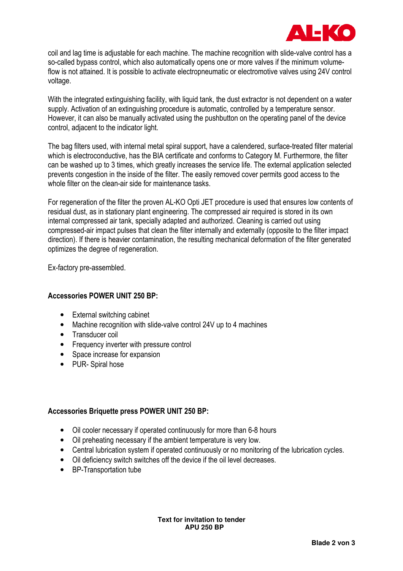

coil and lag time is adjustable for each machine. The machine recognition with slide-valve control has a so-called bypass control, which also automatically opens one or more valves if the minimum volumeflow is not attained. It is possible to activate electropneumatic or electromotive valves using 24V control voltage.

With the integrated extinguishing facility, with liquid tank, the dust extractor is not dependent on a water supply. Activation of an extinguishing procedure is automatic, controlled by a temperature sensor. However, it can also be manually activated using the pushbutton on the operating panel of the device control, adjacent to the indicator light.

The bag filters used, with internal metal spiral support, have a calendered, surface-treated filter material which is electroconductive, has the BIA certificate and conforms to Category M. Furthermore, the filter can be washed up to 3 times, which greatly increases the service life. The external application selected prevents congestion in the inside of the filter. The easily removed cover permits good access to the whole filter on the clean-air side for maintenance tasks.

For regeneration of the filter the proven AL-KO Opti JET procedure is used that ensures low contents of residual dust, as in stationary plant engineering. The compressed air required is stored in its own internal compressed air tank, specially adapted and authorized. Cleaning is carried out using compressed-air impact pulses that clean the filter internally and externally (opposite to the filter impact direction). If there is heavier contamination, the resulting mechanical deformation of the filter generated optimizes the degree of regeneration.

Ex-factory pre-assembled.

## Accessories POWER UNIT 250 BP:

- External switching cabinet
- Machine recognition with slide-valve control 24V up to 4 machines
- Transducer coil
- Frequency inverter with pressure control
- Space increase for expansion
- PUR- Spiral hose

## Accessories Briquette press POWER UNIT 250 BP:

- Oil cooler necessary if operated continuously for more than 6-8 hours
- Oil preheating necessary if the ambient temperature is very low.
- Central lubrication system if operated continuously or no monitoring of the lubrication cycles.
- Oil deficiency switch switches off the device if the oil level decreases.
- BP-Transportation tube

**Text for invitation to tender APU 250 BP**